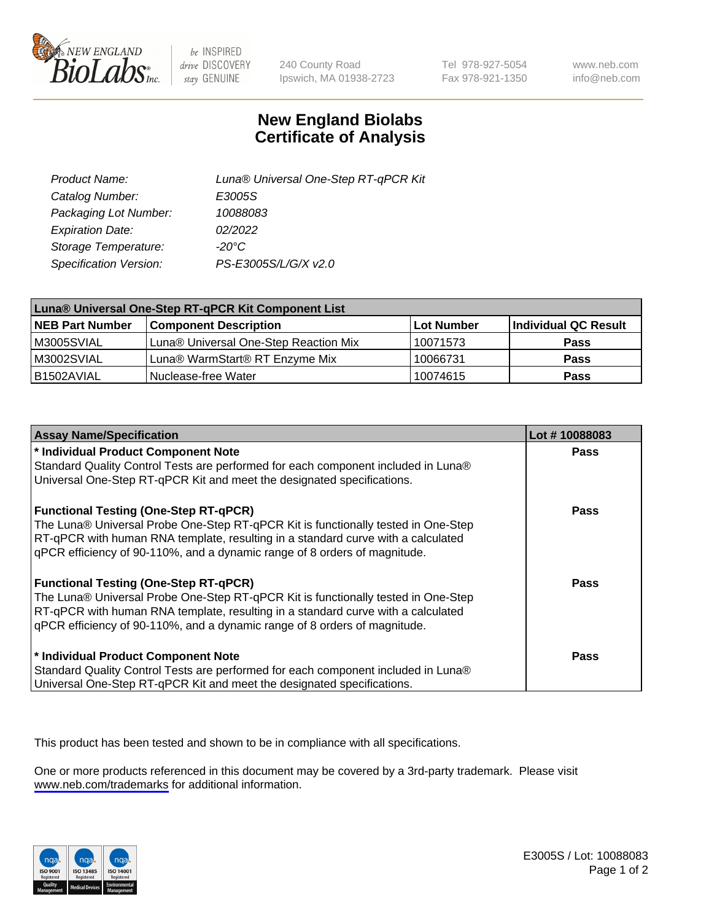

be INSPIRED drive DISCOVERY stay GENUINE

240 County Road Ipswich, MA 01938-2723 Tel 978-927-5054 Fax 978-921-1350

www.neb.com info@neb.com

## **New England Biolabs Certificate of Analysis**

| Product Name:           | Luna® Universal One-Step RT-qPCR Kit |
|-------------------------|--------------------------------------|
| Catalog Number:         | E3005S                               |
| Packaging Lot Number:   | 10088083                             |
| <b>Expiration Date:</b> | 02/2022                              |
| Storage Temperature:    | $-20^{\circ}$ C                      |
| Specification Version:  | PS-E3005S/L/G/X v2.0                 |

| Luna® Universal One-Step RT-qPCR Kit Component List |                                       |            |                      |  |
|-----------------------------------------------------|---------------------------------------|------------|----------------------|--|
| <b>NEB Part Number</b>                              | <b>Component Description</b>          | Lot Number | Individual QC Result |  |
| M3005SVIAL                                          | Luna® Universal One-Step Reaction Mix | 10071573   | <b>Pass</b>          |  |
| M3002SVIAL                                          | Luna® WarmStart® RT Enzyme Mix        | 10066731   | <b>Pass</b>          |  |
| B1502AVIAL                                          | Nuclease-free Water                   | 10074615   | <b>Pass</b>          |  |

| <b>Assay Name/Specification</b>                                                   | Lot #10088083 |
|-----------------------------------------------------------------------------------|---------------|
| * Individual Product Component Note                                               | <b>Pass</b>   |
| Standard Quality Control Tests are performed for each component included in Luna® |               |
| Universal One-Step RT-qPCR Kit and meet the designated specifications.            |               |
| <b>Functional Testing (One-Step RT-qPCR)</b>                                      | Pass          |
| The Luna® Universal Probe One-Step RT-qPCR Kit is functionally tested in One-Step |               |
| RT-qPCR with human RNA template, resulting in a standard curve with a calculated  |               |
| qPCR efficiency of 90-110%, and a dynamic range of 8 orders of magnitude.         |               |
| <b>Functional Testing (One-Step RT-qPCR)</b>                                      | Pass          |
| The Luna® Universal Probe One-Step RT-qPCR Kit is functionally tested in One-Step |               |
| RT-qPCR with human RNA template, resulting in a standard curve with a calculated  |               |
| qPCR efficiency of 90-110%, and a dynamic range of 8 orders of magnitude.         |               |
| * Individual Product Component Note                                               | <b>Pass</b>   |
| Standard Quality Control Tests are performed for each component included in Luna® |               |
| Universal One-Step RT-qPCR Kit and meet the designated specifications.            |               |

This product has been tested and shown to be in compliance with all specifications.

One or more products referenced in this document may be covered by a 3rd-party trademark. Please visit <www.neb.com/trademarks>for additional information.